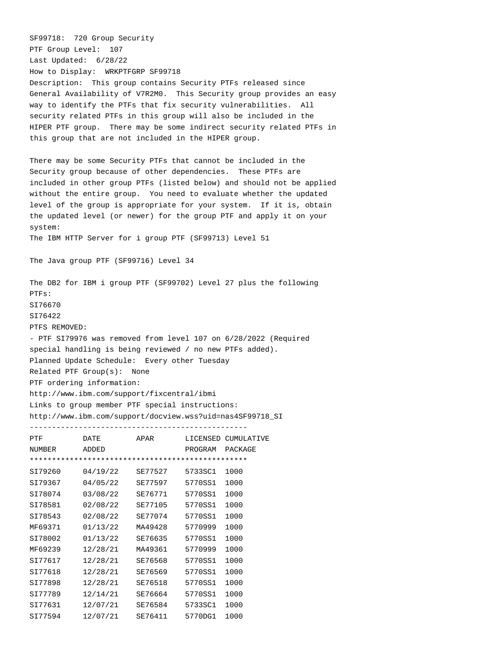SF99718: 720 Group Security PTF Group Level: 107 Last Updated: 6/28/22 How to Display: WRKPTFGRP SF99718 Description: This group contains Security PTFs released since General Availability of V7R2M0. This Security group provides an easy way to identify the PTFs that fix security vulnerabilities. All security related PTFs in this group will also be included in the HIPER PTF group. There may be some indirect security related PTFs in this group that are not included in the HIPER group. There may be some Security PTFs that cannot be included in the Security group because of other dependencies. These PTFs are included in other group PTFs (listed below) and should not be applied without the entire group. You need to evaluate whether the updated level of the group is appropriate for your system. If it is, obtain the updated level (or newer) for the group PTF and apply it on your system: The IBM HTTP Server for i group PTF (SF99713) Level 51 The Java group PTF (SF99716) Level 34 The DB2 for IBM i group PTF (SF99702) Level 27 plus the following PTFs: SI76670 SI76422 PTFS REMOVED: - PTF SI79976 was removed from level 107 on 6/28/2022 (Required special handling is being reviewed / no new PTFs added). Planned Update Schedule: Every other Tuesday Related PTF Group(s): None PTF ordering information: http://www.ibm.com/support/fixcentral/ibmi Links to group member PTF special instructions: http://www.ibm.com/support/docview.wss?uid=nas4SF99718\_SI ------------------------------------------------- PTF DATE APAR LICENSED CUMULATIVE NUMBER ADDED PROGRAM PACKAGE \*\*\*\*\*\*\*\*\*\*\*\*\*\*\*\*\*\*\*\*\*\*\*\*\*\*\*\*\*\*\*\*\*\*\*\*\*\*\*\*\*\*\*\*\*\*\*\*\* SI79260 04/19/22 SE77527 5733SC1 1000 SI79367 04/05/22 SE77597 5770SS1 1000 SI78074 03/08/22 SE76771 5770SS1 1000 SI78581 02/08/22 SE77105 5770SS1 1000 SI78543 02/08/22 SE77074 5770SS1 1000 MF69371 01/13/22 MA49428 5770999 1000 SI78002 01/13/22 SE76635 5770SS1 1000 MF69239 12/28/21 MA49361 5770999 1000 SI77617 12/28/21 SE76568 5770SS1 1000 SI77618 12/28/21 SE76569 5770SS1 1000 SI77898 12/28/21 SE76518 5770SS1 1000 SI77789 12/14/21 SE76664 5770SS1 1000 SI77631 12/07/21 SE76584 5733SC1 1000 SI77594 12/07/21 SE76411 5770DG1 1000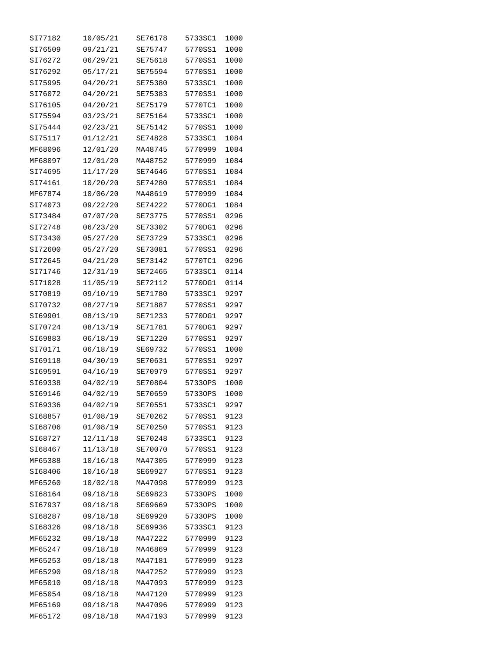| SI77182            | 10/05/21             | SE76178            | 5733SC1            | 1000         |
|--------------------|----------------------|--------------------|--------------------|--------------|
| SI76509            | 09/21/21             | SE75747            | 5770SS1            | 1000         |
| SI76272            | 06/29/21             | SE75618            | 5770SS1            | 1000         |
| SI76292            | 05/17/21             | SE75594            | 5770SS1            | 1000         |
| SI75995            | 04/20/21             | SE75380            | 5733SC1            | 1000         |
| SI76072            | 04/20/21             | SE75383            | 5770SS1            | 1000         |
| SI76105            | 04/20/21             | SE75179            | 5770TC1            | 1000         |
| SI75594            | 03/23/21             | SE75164            | 5733SC1            | 1000         |
| SI75444            | 02/23/21             | SE75142            | 5770SS1            | 1000         |
| SI75117            | 01/12/21             | SE74828            | 5733SC1            | 1084         |
| MF68096            | 12/01/20             | MA48745            | 5770999            | 1084         |
| MF68097            | 12/01/20             | MA48752            | 5770999            | 1084         |
| SI74695            | 11/17/20             | SE74646            | 5770SS1            | 1084         |
| SI74161            | 10/20/20             | SE74280            | 5770SS1            | 1084         |
| MF67874            | 10/06/20             | MA48619            | 5770999            | 1084         |
| SI74073            | 09/22/20             | SE74222            | 5770DG1            | 1084         |
| SI73484            | 07/07/20             | SE73775            | 5770SS1            | 0296         |
| SI72748            | 06/23/20             | SE73302            | 5770DG1            | 0296         |
| SI73430            | 05/27/20             | SE73729            | 5733SC1            | 0296         |
| SI72600            |                      |                    |                    | 0296         |
|                    | 05/27/20             | SE73081            | 5770SS1            |              |
| SI72645            | 04/21/20             | SE73142            | 5770TC1            | 0296         |
| SI71746            | 12/31/19             | SE72465            | 5733SC1            | 0114         |
| SI71028            | 11/05/19             | SE72112            | 5770DG1            | 0114         |
| SI70819            | 09/10/19             | SE71780            | 5733SC1            | 9297         |
| SI70732<br>SI69901 | 08/27/19             | SE71887            | 5770SS1<br>5770DG1 | 9297         |
| SI70724            | 08/13/19<br>08/13/19 | SE71233<br>SE71781 | 5770DG1            | 9297<br>9297 |
| SI69883            | 06/18/19             | SE71220            | 5770SS1            | 9297         |
| SI70171            | 06/18/19             | SE69732            | 5770SS1            | 1000         |
| SI69118            | 04/30/19             | SE70631            | 5770SS1            | 9297         |
| SI69591            |                      |                    | 5770SS1            |              |
|                    | 04/16/19             | SE70979            |                    | 9297         |
| SI69338            | 04/02/19             | SE70804            | 57330PS            | 1000         |
| SI69146            | 04/02/19             | SE70659            | 57330PS            | 1000         |
| SI69336            | 04/02/19             | SE70551            | 5733SC1            | 9297         |
| SI68857            | 01/08/19             | SE70262            | 5770SS1            | 9123         |
| SI68706            | 01/08/19             | SE70250            | 5770SS1            | 9123         |
| SI68727            | 12/11/18             | SE70248            | 5733SC1            | 9123         |
| SI68467            | 11/13/18             | SE70070            | 5770SS1            | 9123         |
| MF65388            | 10/16/18             | MA47305            | 5770999            | 9123         |
| SI68406            | 10/16/18             | SE69927            | 5770SS1            | 9123         |
| MF65260            | 10/02/18             | MA47098            | 5770999            | 9123         |
| SI68164            | 09/18/18             | SE69823            | 57330PS            | 1000         |
| SI67937            | 09/18/18             | SE69669            | 57330PS            | 1000         |
| SI68287            | 09/18/18             | SE69920            | 57330PS            | 1000         |
| SI68326            | 09/18/18             | SE69936            | 5733SC1            | 9123         |
| MF65232            | 09/18/18             | MA47222            | 5770999            | 9123         |
| MF65247            | 09/18/18             | MA46869            | 5770999            | 9123         |
| MF65253            | 09/18/18             | MA47181            | 5770999            | 9123         |
| MF65290            | 09/18/18             | MA47252            | 5770999            | 9123         |
| MF65010            | 09/18/18             | MA47093            | 5770999            | 9123         |
| MF65054            | 09/18/18             | MA47120            | 5770999            | 9123         |
| MF65169            | 09/18/18             | MA47096            | 5770999            | 9123         |
| MF65172            | 09/18/18             | MA47193            | 5770999            | 9123         |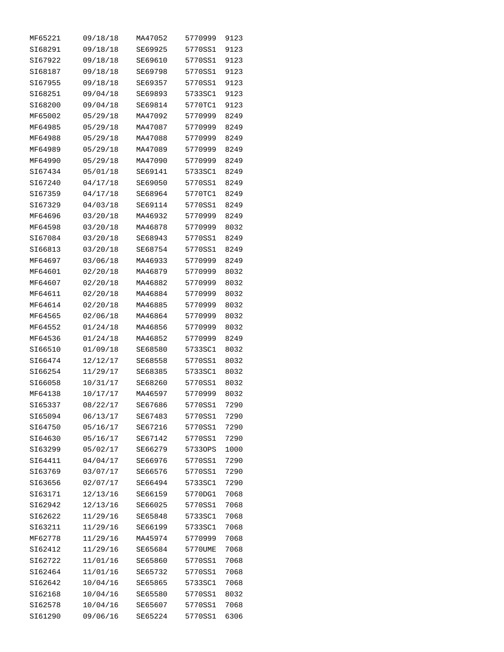| MF65221 | 09/18/18 | MA47052 | 5770999 | 9123 |
|---------|----------|---------|---------|------|
| SI68291 | 09/18/18 | SE69925 | 5770SS1 | 9123 |
| SI67922 | 09/18/18 | SE69610 | 5770SS1 | 9123 |
| SI68187 | 09/18/18 | SE69798 | 5770SS1 | 9123 |
| SI67955 | 09/18/18 | SE69357 | 5770SS1 | 9123 |
| SI68251 | 09/04/18 | SE69893 | 5733SC1 | 9123 |
| SI68200 | 09/04/18 | SE69814 | 5770TC1 | 9123 |
| MF65002 | 05/29/18 | MA47092 | 5770999 | 8249 |
| MF64985 | 05/29/18 | MA47087 | 5770999 | 8249 |
| MF64988 | 05/29/18 | MA47088 | 5770999 | 8249 |
| MF64989 | 05/29/18 | MA47089 | 5770999 | 8249 |
| MF64990 | 05/29/18 | MA47090 | 5770999 | 8249 |
| SI67434 | 05/01/18 | SE69141 | 5733SC1 | 8249 |
| SI67240 | 04/17/18 | SE69050 | 5770SS1 | 8249 |
| SI67359 | 04/17/18 | SE68964 | 5770TC1 | 8249 |
| SI67329 | 04/03/18 | SE69114 | 5770SS1 | 8249 |
| MF64696 | 03/20/18 | MA46932 | 5770999 | 8249 |
| MF64598 | 03/20/18 | MA46878 | 5770999 | 8032 |
| SI67084 | 03/20/18 | SE68943 | 5770SS1 | 8249 |
| SI66813 | 03/20/18 | SE68754 | 5770SS1 | 8249 |
| MF64697 | 03/06/18 | MA46933 | 5770999 | 8249 |
| MF64601 | 02/20/18 | MA46879 | 5770999 | 8032 |
| MF64607 | 02/20/18 | MA46882 | 5770999 | 8032 |
| MF64611 | 02/20/18 | MA46884 | 5770999 | 8032 |
| MF64614 | 02/20/18 | MA46885 | 5770999 | 8032 |
| MF64565 | 02/06/18 | MA46864 | 5770999 | 8032 |
| MF64552 | 01/24/18 | MA46856 | 5770999 | 8032 |
| MF64536 | 01/24/18 | MA46852 | 5770999 | 8249 |
| SI66510 | 01/09/18 | SE68580 | 5733SC1 | 8032 |
| SI66474 | 12/12/17 | SE68558 | 5770SS1 | 8032 |
| SI66254 | 11/29/17 | SE68385 | 5733SC1 | 8032 |
| SI66058 | 10/31/17 | SE68260 | 5770SS1 | 8032 |
| MF64138 | 10/17/17 | MA46597 | 5770999 | 8032 |
| SI65337 | 08/22/17 | SE67686 | 5770SS1 | 7290 |
| SI65094 | 06/13/17 | SE67483 | 5770SS1 | 7290 |
| SI64750 | 05/16/17 | SE67216 | 5770SS1 | 7290 |
| SI64630 | 05/16/17 | SE67142 | 5770SS1 | 7290 |
| SI63299 | 05/02/17 | SE66279 | 57330PS | 1000 |
| SI64411 | 04/04/17 | SE66976 | 5770SS1 | 7290 |
| SI63769 | 03/07/17 | SE66576 | 5770SS1 | 7290 |
| SI63656 | 02/07/17 | SE66494 | 5733SC1 | 7290 |
| SI63171 | 12/13/16 | SE66159 | 5770DG1 | 7068 |
| SI62942 | 12/13/16 | SE66025 | 5770SS1 | 7068 |
| SI62622 | 11/29/16 | SE65848 | 5733SC1 | 7068 |
| SI63211 | 11/29/16 | SE66199 | 5733SC1 | 7068 |
| MF62778 | 11/29/16 | MA45974 | 5770999 | 7068 |
| SI62412 | 11/29/16 | SE65684 | 5770UME | 7068 |
| SI62722 | 11/01/16 | SE65860 | 5770SS1 | 7068 |
| SI62464 | 11/01/16 | SE65732 | 5770SS1 | 7068 |
| SI62642 | 10/04/16 | SE65865 | 5733SC1 | 7068 |
| SI62168 | 10/04/16 | SE65580 | 5770SS1 | 8032 |
| SI62578 | 10/04/16 | SE65607 | 5770SS1 | 7068 |
| SI61290 | 09/06/16 | SE65224 | 5770SS1 | 6306 |